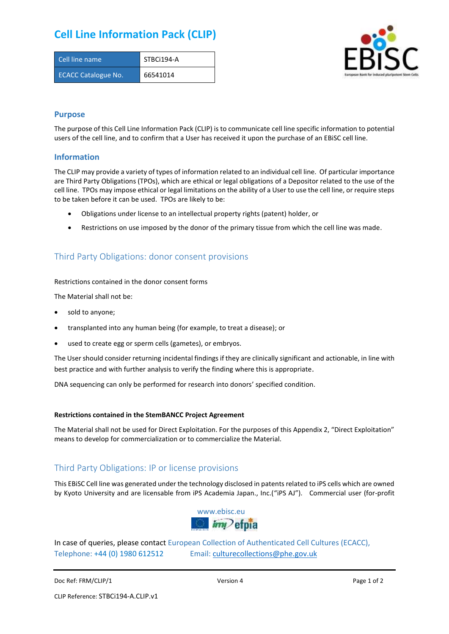# **Cell Line Information Pack (CLIP)**

| Cell line name             | STBCi194-A |
|----------------------------|------------|
| <b>ECACC Catalogue No.</b> | 66541014   |



### **Purpose**

The purpose of this Cell Line Information Pack (CLIP) is to communicate cell line specific information to potential users of the cell line, and to confirm that a User has received it upon the purchase of an EBiSC cell line.

### **Information**

The CLIP may provide a variety of types of information related to an individual cell line. Of particular importance are Third Party Obligations (TPOs), which are ethical or legal obligations of a Depositor related to the use of the cell line. TPOs may impose ethical or legal limitations on the ability of a User to use the cell line, or require steps to be taken before it can be used. TPOs are likely to be:

- Obligations under license to an intellectual property rights (patent) holder, or
- Restrictions on use imposed by the donor of the primary tissue from which the cell line was made.

## Third Party Obligations: donor consent provisions

#### Restrictions contained in the donor consent forms

The Material shall not be:

- sold to anyone;
- transplanted into any human being (for example, to treat a disease); or
- used to create egg or sperm cells (gametes), or embryos.

The User should consider returning incidental findings if they are clinically significant and actionable, in line with best practice and with further analysis to verify the finding where this is appropriate.

DNA sequencing can only be performed for research into donors' specified condition.

#### **Restrictions contained in the StemBANCC Project Agreement**

The Material shall not be used for Direct Exploitation. For the purposes of this Appendix 2, "Direct Exploitation" means to develop for commercialization or to commercialize the Material.

## Third Party Obligations: IP or license provisions

This EBiSC Cell line was generated under the technology disclosed in patents related to iPS cells which are owned by Kyoto University and are licensable from iPS Academia Japan., Inc.("iPS AJ"). Commercial user (for-profit



In case of queries, please contact European Collection of Authenticated Cell Cultures (ECACC), Telephone: +44 (0) 1980 612512 Email: [culturecollections@phe.gov.uk](mailto:culturecollections@phe.gov.uk)